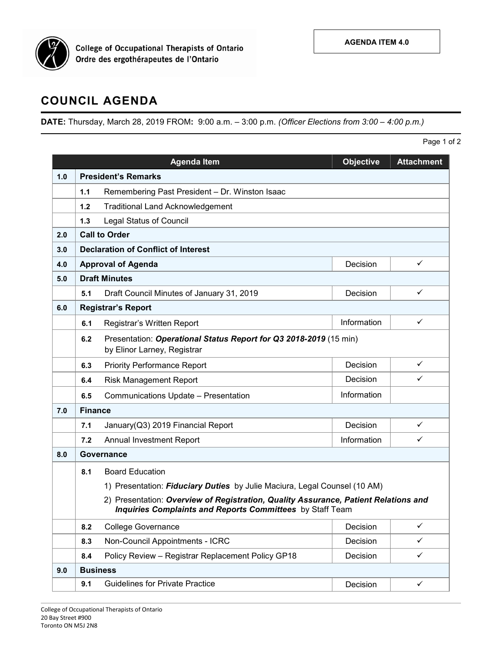

**College of Occupational Therapists of Ontario** Ordre des ergothérapeutes de l'Ontario

## **COUNCIL AGENDA**

**DATE:** Thursday, March 28, 2019 FROM**:** 9:00 a.m. – 3:00 p.m. *(Officer Elections from 3:00 – 4:00 p.m.)*

|     |                                                                                                                                                                                                                               | <b>Agenda Item</b>                                                                               | <b>Objective</b> | <b>Attachment</b> |  |  |  |  |
|-----|-------------------------------------------------------------------------------------------------------------------------------------------------------------------------------------------------------------------------------|--------------------------------------------------------------------------------------------------|------------------|-------------------|--|--|--|--|
| 1.0 | <b>President's Remarks</b>                                                                                                                                                                                                    |                                                                                                  |                  |                   |  |  |  |  |
|     | 1.1                                                                                                                                                                                                                           | Remembering Past President - Dr. Winston Isaac                                                   |                  |                   |  |  |  |  |
|     | 1.2                                                                                                                                                                                                                           | <b>Traditional Land Acknowledgement</b>                                                          |                  |                   |  |  |  |  |
|     | 1.3                                                                                                                                                                                                                           | <b>Legal Status of Council</b>                                                                   |                  |                   |  |  |  |  |
| 2.0 |                                                                                                                                                                                                                               | <b>Call to Order</b>                                                                             |                  |                   |  |  |  |  |
| 3.0 |                                                                                                                                                                                                                               | <b>Declaration of Conflict of Interest</b>                                                       |                  |                   |  |  |  |  |
| 4.0 |                                                                                                                                                                                                                               | $\checkmark$<br><b>Approval of Agenda</b><br>Decision                                            |                  |                   |  |  |  |  |
| 5.0 | <b>Draft Minutes</b>                                                                                                                                                                                                          |                                                                                                  |                  |                   |  |  |  |  |
|     | 5.1                                                                                                                                                                                                                           | Draft Council Minutes of January 31, 2019                                                        | Decision         | ✓                 |  |  |  |  |
| 6.0 | <b>Registrar's Report</b>                                                                                                                                                                                                     |                                                                                                  |                  |                   |  |  |  |  |
|     | 6.1                                                                                                                                                                                                                           | Registrar's Written Report                                                                       | Information      | $\checkmark$      |  |  |  |  |
|     | 6.2                                                                                                                                                                                                                           | Presentation: Operational Status Report for Q3 2018-2019 (15 min)<br>by Elinor Larney, Registrar |                  |                   |  |  |  |  |
|     | 6.3                                                                                                                                                                                                                           | <b>Priority Performance Report</b>                                                               | Decision         | ✓                 |  |  |  |  |
|     | 6.4                                                                                                                                                                                                                           | <b>Risk Management Report</b>                                                                    | Decision         | ✓                 |  |  |  |  |
|     | 6.5                                                                                                                                                                                                                           | Communications Update - Presentation                                                             | Information      |                   |  |  |  |  |
| 7.0 | <b>Finance</b>                                                                                                                                                                                                                |                                                                                                  |                  |                   |  |  |  |  |
|     | 7.1                                                                                                                                                                                                                           | January(Q3) 2019 Financial Report                                                                | Decision         | ✓                 |  |  |  |  |
|     | 7.2                                                                                                                                                                                                                           | Annual Investment Report                                                                         | Information      | ✓                 |  |  |  |  |
| 8.0 | Governance                                                                                                                                                                                                                    |                                                                                                  |                  |                   |  |  |  |  |
|     | 8.1                                                                                                                                                                                                                           | <b>Board Education</b>                                                                           |                  |                   |  |  |  |  |
|     | 1) Presentation: Fiduciary Duties by Julie Maciura, Legal Counsel (10 AM)<br>2) Presentation: Overview of Registration, Quality Assurance, Patient Relations and<br>Inquiries Complaints and Reports Committees by Staff Team |                                                                                                  |                  |                   |  |  |  |  |
|     |                                                                                                                                                                                                                               |                                                                                                  |                  |                   |  |  |  |  |
|     | 8.2                                                                                                                                                                                                                           | <b>College Governance</b>                                                                        | Decision         | ✓                 |  |  |  |  |
|     | 8.3                                                                                                                                                                                                                           | Non-Council Appointments - ICRC                                                                  | Decision         | ✓                 |  |  |  |  |
|     | 8.4                                                                                                                                                                                                                           | Policy Review - Registrar Replacement Policy GP18                                                | Decision         | ✓                 |  |  |  |  |
| 9.0 |                                                                                                                                                                                                                               | <b>Business</b>                                                                                  |                  |                   |  |  |  |  |
|     | 9.1                                                                                                                                                                                                                           | <b>Guidelines for Private Practice</b>                                                           | Decision         | $\checkmark$      |  |  |  |  |